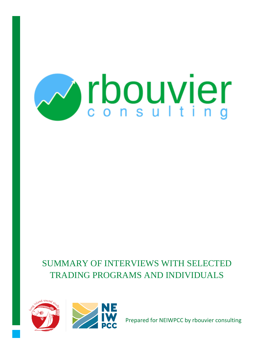

# SUMMARY OF INTERVIEWS WITH SELECTED TRADING PROGRAMS AND INDIVIDUALS





Prepared for NEIWPCC by rbouvier consulting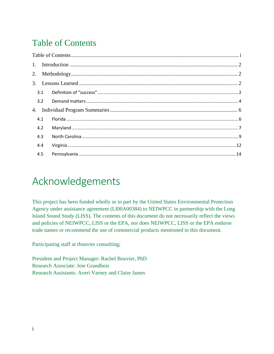# <span id="page-1-0"></span>Table of Contents

|  | 3.1 |  |  |
|--|-----|--|--|
|  | 3.2 |  |  |
|  |     |  |  |
|  | 4.1 |  |  |
|  | 4.2 |  |  |
|  | 4.3 |  |  |
|  | 4.4 |  |  |
|  | 4.5 |  |  |

# Acknowledgements

This project has been funded wholly or in part by the United States Environmental Protection Agency under assistance agreement (LI00A00384) to NEIWPCC in partnership with the Long Island Sound Study (LISS). The contents of this document do not necessarily reflect the views and policies of NEIWPCC, LISS or the EPA, nor does NEIWPCC, LISS or the EPA endorse trade names or recommend the use of commercial products mentioned in this document.

Participating staff at rbouvier consulting;

President and Project Manager: Rachel Bouvier, PhD Research Associate: Joie Grandbois Research Assistants: Averi Varney and Claire James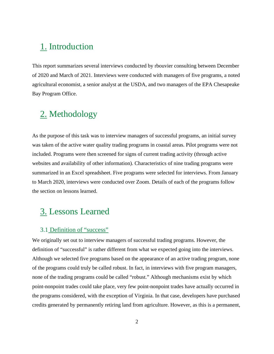## <span id="page-2-0"></span>1. Introduction

This report summarizes several interviews conducted by rbouvier consulting between December of 2020 and March of 2021. Interviews were conducted with managers of five programs, a noted agricultural economist, a senior analyst at the USDA, and two managers of the EPA Chesapeake Bay Program Office.

# <span id="page-2-1"></span>2. Methodology

As the purpose of this task was to interview managers of successful programs, an initial survey was taken of the active water quality trading programs in coastal areas. Pilot programs were not included. Programs were then screened for signs of current trading activity (through active websites and availability of other information). Characteristics of nine trading programs were summarized in an Excel spreadsheet. Five programs were selected for interviews. From January to March 2020, interviews were conducted over Zoom. Details of each of the programs follow the section on lessons learned.

## <span id="page-2-2"></span>3. Lessons Learned

#### <span id="page-2-3"></span>3.1 Definition of "success"

We originally set out to interview managers of successful trading programs. However, the definition of "successful" is rather different from what we expected going into the interviews. Although we selected five programs based on the appearance of an active trading program, none of the programs could truly be called robust. In fact, in interviews with five program managers, none of the trading programs could be called "robust." Although mechanisms exist by which point-nonpoint trades could take place, very few point-nonpoint trades have actually occurred in the programs considered, with the exception of Virginia. In that case, developers have purchased credits generated by permanently retiring land from agriculture. However, as this is a permanent,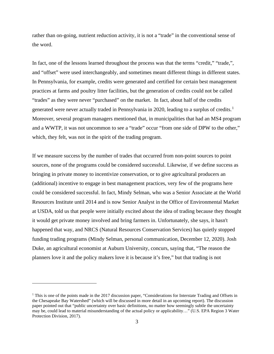rather than on-going, nutrient reduction activity, it is not a "trade" in the conventional sense of the word.

In fact, one of the lessons learned throughout the process was that the terms "credit," "trade,", and "offset" were used interchangeably, and sometimes meant different things in different states. In Pennsylvania, for example, credits were generated and certified for certain best management practices at farms and poultry litter facilities, but the generation of credits could not be called "trades" as they were never "purchased" on the market. In fact, about half of the credits generated were never actually traded in Pennsylvania in 2020, leading to a surplus of credits.<sup>[1](#page-3-0)</sup> Moreover, several program managers mentioned that, in municipalities that had an MS4 program and a WWTP, it was not uncommon to see a "trade" occur "from one side of DPW to the other," which, they felt, was not in the spirit of the trading program.

If we measure success by the number of trades that occurred from non-point sources to point sources, none of the programs could be considered successful. Likewise, if we define success as bringing in private money to incentivize conservation, or to give agricultural producers an (additional) incentive to engage in best management practices, very few of the programs here could be considered successful. In fact, Mindy Selman, who was a Senior Associate at the World Resources Institute until 2014 and is now Senior Analyst in the Office of Environmental Market at USDA, told us that people were initially excited about the idea of trading because they thought it would get private money involved and bring farmers in. Unfortunately, she says, it hasn't happened that way, and NRCS (Natural Resources Conservation Services) has quietly stopped funding trading programs (Mindy Selman, personal communication, December 12, 2020). Josh Duke, an agricultural economist at Auburn University, concurs, saying that, "The reason the planners love it and the policy makers love it is because it's free," but that trading is not

<span id="page-3-0"></span><sup>&</sup>lt;sup>1</sup> This is one of the points made in the 2017 discussion paper, "Considerations for Interstate Trading and Offsets in the Chesapeake Bay Watershed" (which will be discussed in more detail in an upcoming report). The discussion paper pointed out that "public uncertainty over basic definitions, no matter how seemingly subtle the uncertainty may be, could lead to material misunderstanding of the actual policy or applicability…" (U.S. EPA Region 3 Water Protection Division, 2017).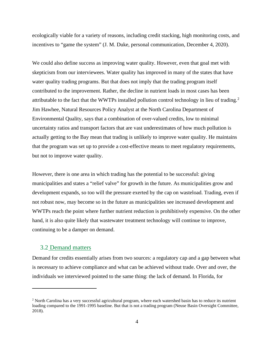ecologically viable for a variety of reasons, including credit stacking, high monitoring costs, and incentives to "game the system" (J. M. Duke, personal communication, December 4, 2020).

We could also define success as improving water quality. However, even that goal met with skepticism from our interviewees. Water quality has improved in many of the states that have water quality trading programs. But that does not imply that the trading program itself contributed to the improvement. Rather, the decline in nutrient loads in most cases has been attributable to the fact that the WWTPs installed pollution control technology in lieu of trading.[2](#page-4-1) Jim Hawhee, Natural Resources Policy Analyst at the North Carolina Department of Environmental Quality, says that a combination of over-valued credits, low to minimal uncertainty ratios and transport factors that are vast underestimates of how much pollution is actually getting to the Bay mean that trading is unlikely to improve water quality. He maintains that the program was set up to provide a cost-effective means to meet regulatory requirements, but not to improve water quality.

However, there is one area in which trading has the potential to be successful: giving municipalities and states a "relief valve" for growth in the future. As municipalities grow and development expands, so too will the pressure exerted by the cap on wasteload. Trading, even if not robust now, may become so in the future as municipalities see increased development and WWTPs reach the point where further nutrient reduction is prohibitively expensive. On the other hand, it is also quite likely that wastewater treatment technology will continue to improve, continuing to be a damper on demand.

#### <span id="page-4-0"></span>3.2 Demand matters

Demand for credits essentially arises from two sources: a regulatory cap and a gap between what is necessary to achieve compliance and what can be achieved without trade. Over and over, the individuals we interviewed pointed to the same thing: the lack of demand. In Florida, for

<span id="page-4-1"></span><sup>&</sup>lt;sup>2</sup> North Carolina has a very successful agricultural program, where each watershed basin has to reduce its nutrient loading compared to the 1991-1995 baseline. But that is not a trading program (Neuse Basin Oversight Committee, 2018).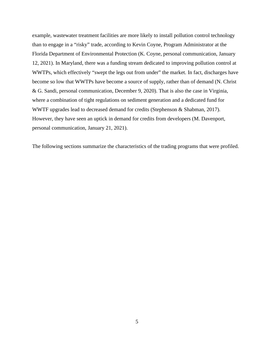example, wastewater treatment facilities are more likely to install pollution control technology than to engage in a "risky" trade, according to Kevin Coyne, Program Administrator at the Florida Department of Environmental Protection (K. Coyne, personal communication, January 12, 2021). In Maryland, there was a funding stream dedicated to improving pollution control at WWTPs, which effectively "swept the legs out from under" the market. In fact, discharges have become so low that WWTPs have become a source of supply, rather than of demand (N. Christ & G. Sandi, personal communication, December 9, 2020). That is also the case in Virginia, where a combination of tight regulations on sediment generation and a dedicated fund for WWTF upgrades lead to decreased demand for credits (Stephenson & Shabman, 2017). However, they have seen an uptick in demand for credits from developers (M. Davenport, personal communication, January 21, 2021).

The following sections summarize the characteristics of the trading programs that were profiled.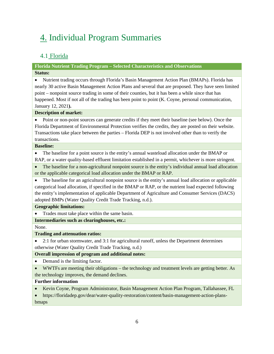# <span id="page-6-0"></span>4. Individual Program Summaries

### <span id="page-6-1"></span>4.1 Florida

#### **Florida Nutrient Trading Program – Selected Characteristics and Observations Status:**

• Nutrient trading occurs through Florida's Basin Management Action Plan (BMAPs). Florida has nearly 30 active Basin Management Action Plans and several that are proposed. They have seen limited point – nonpoint source trading in some of their counties, but it has been a while since that has happened. Most if not all of the trading has been point to point (K. Coyne, personal communication, January 12, 2021**).**

#### **Description of market:**

• Point or non-point sources can generate credits if they meet their baseline (see below). Once the Florida Department of Environmental Protection verifies the credits, they are posted on their website. Transactions take place between the parties – Florida DEP is not involved other than to verify the transactions.

#### **Baseline:**

• The baseline for a point source is the entity's annual wasteload allocation under the BMAP or RAP, or a water quality-based effluent limitation established in a permit, whichever is more stringent.

• The baseline for a non-agricultural nonpoint source is the entity's individual annual load allocation or the applicable categorical load allocation under the BMAP or RAP.

• The baseline for an agricultural nonpoint source is the entity's annual load allocation or applicable categorical load allocation, if specified in the BMAP or RAP, or the nutrient load expected following the entity's implementation of applicable Department of Agriculture and Consumer Services (DACS) adopted BMPs (Water Quality Credit Trade Tracking, n.d.).

**Geographic limitations:** 

Trades must take place within the same basin.

**Intermediaries such as clearinghouses, etc.:** 

None.

#### **Trading and attenuation ratios:**

• 2:1 for urban stormwater, and 3:1 for agricultural runoff, unless the Department determines otherwise (Water Quality Credit Trade Tracking, n.d.)

#### **Overall impression of program and additional notes:**

- Demand is the limiting factor.
- WWTFs are meeting their obligations the technology and treatment levels are getting better. As the technology improves, the demand declines.

#### **Further information**

• Kevin Coyne, Program Administrator, Basin Management Action Plan Program, Tallahassee, FL

• https://floridadep.gov/dear/water-quality-restoration/content/basin-management-action-plansbmaps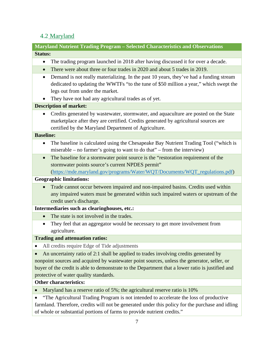### <span id="page-7-0"></span>4.2 Maryland

**Maryland Nutrient Trading Program – Selected Characteristics and Observations Status:** 

- The trading program launched in 2018 after having discussed it for over a decade.
- There were about three or four trades in 2020 and about 5 trades in 2019.
- Demand is not really materializing. In the past 10 years, they've had a funding stream dedicated to updating the WWTFs "to the tune of \$50 million a year," which swept the legs out from under the market.
- They have not had any agricultural trades as of yet.

#### **Description of market:**

• Credits generated by wastewater, stormwater, and aquaculture are posted on the State marketplace after they are certified. Credits generated by agricultural sources are certified by the Maryland Department of Agriculture.

#### **Baseline:**

- The baseline is calculated using the Chesapeake Bay Nutrient Trading Tool ("which is miserable – no farmer's going to want to do that" – from the interview)
- The baseline for a stormwater point source is the "restoration requirement of the stormwater points source's current NPDES permit"

[\(https://mde.maryland.gov/programs/Water/WQT/Documents/WQT\\_regulations.pdf\)](https://mde.maryland.gov/programs/Water/WQT/Documents/WQT_regulations.pdf)

#### **Geographic limitations:**

• Trade cannot occur between impaired and non-impaired basins. Credits used within any impaired waters must be generated within such impaired waters or upstream of the credit user's discharge.

**Intermediaries such as clearinghouses, etc.:** 

- The state is not involved in the trades.
- They feel that an aggregator would be necessary to get more involvement from agriculture.

**Trading and attenuation ratios:**

• All credits require Edge of Tide adjustments

• An uncertainty ratio of 2:1 shall be applied to trades involving credits generated by nonpoint sources and acquired by wastewater point sources, unless the generator, seller, or buyer of the credit is able to demonstrate to the Department that a lower ratio is justified and protective of water quality standards.

#### **Other characteristics:**

• Maryland has a reserve ratio of 5%; the agricultural reserve ratio is 10%

• "The Agricultural Trading Program is not intended to accelerate the loss of productive farmland. Therefore, credits will not be generated under this policy for the purchase and idling of whole or substantial portions of farms to provide nutrient credits."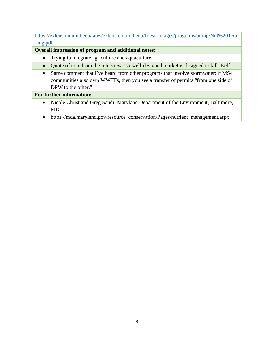[https://extension.umd.edu/sites/extension.umd.edu/files/\\_images/programs/anmp/Nut%20TRa](https://extension.umd.edu/sites/extension.umd.edu/files/_images/programs/anmp/Nut%20TRading.pdf) [ding.pdf](https://extension.umd.edu/sites/extension.umd.edu/files/_images/programs/anmp/Nut%20TRading.pdf)

**Overall impression of program and additional notes:**

- Trying to integrate agriculture and aquaculture.
- Quote of note from the interview: "A well-designed market is designed to kill itself."
- Same comment that I've heard from other programs that involve stormwater: if MS4 communities also own WWTFs, then you see a transfer of permits "from one side of DPW to the other."

#### **For further information:**

- Nicole Christ and Greg Sandi, Maryland Department of the Environment, Baltimore, MD
- https://mda.maryland.gov/resource\_conservation/Pages/nutrient\_management.aspx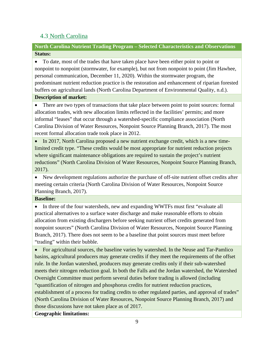### <span id="page-9-0"></span>4.3 North Carolina

**North Carolina Nutrient Trading Program – Selected Characteristics and Observations Status:** 

• To date, most of the trades that have taken place have been either point to point or nonpoint to nonpoint (stormwater, for example), but not from nonpoint to point (Jim Hawhee, personal communication, December 11, 2020). Within the stormwater program, the predominant nutrient reduction practice is the restoration and enhancement of riparian forested buffers on agricultural lands (North Carolina Department of Environmental Quality, n.d.).

#### **Description of market:**

• There are two types of transactions that take place between point to point sources: formal allocation trades, with new allocation limits reflected in the facilities' permits; and more informal "leases" that occur through a watershed-specific compliance association (North Carolina Division of Water Resources, Nonpoint Source Planning Branch, 2017). The most recent formal allocation trade took place in 2012.

• In 2017, North Carolina proposed a new nutrient exchange credit, which is a new timelimited credit type. "These credits would be most appropriate for nutrient reduction projects where significant maintenance obligations are required to sustain the project's nutrient reductions" (North Carolina Division of Water Resources, Nonpoint Source Planning Branch, 2017).

• New development regulations authorize the purchase of off-site nutrient offset credits after meeting certain criteria (North Carolina Division of Water Resources, Nonpoint Source Planning Branch, 2017).

#### **Baseline:**

• In three of the four watersheds, new and expanding WWTFs must first "evaluate all practical alternatives to a surface water discharge and make reasonable efforts to obtain allocation from existing dischargers before seeking nutrient offset credits generated from nonpoint sources" (North Carolina Division of Water Resources, Nonpoint Source Planning Branch, 2017). There does not seem to be a baseline that point sources must meet before "trading" within their bubble.

• For agricultural sources, the baseline varies by watershed. In the Neuse and Tar-Pamlico basins, agricultural producers may generate credits if they meet the requirements of the offset rule. In the Jordan watershed, producers may generate credits only if their sub-watershed meets their nitrogen reduction goal. In both the Falls and the Jordan watershed, the Watershed Oversight Committee must perform several duties before trading is allowed (including "quantification of nitrogen and phosphorus credits for nutrient reduction practices, establishment of a process for trading credits to other regulated parties, and approval of trades" (North Carolina Division of Water Resources, Nonpoint Source Planning Branch, 2017) and those discussions have not taken place as of 2017.

**Geographic limitations:**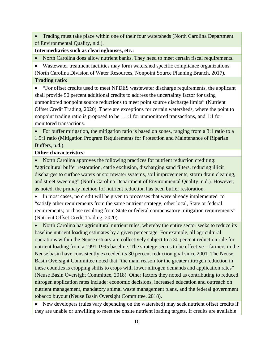• Trading must take place within one of their four watersheds (North Carolina Department of Environmental Quality, n.d.).

**Intermediaries such as clearinghouses, etc.:** 

• North Carolina does allow nutrient banks. They need to meet certain fiscal requirements.

• Wastewater treatment facilities may form watershed specific compliance organizations. (North Carolina Division of Water Resources, Nonpoint Source Planning Branch, 2017).

**Trading ratio:** 

• "For offset credits used to meet NPDES wastewater discharge requirements, the applicant shall provide 50 percent additional credits to address the uncertainty factor for using unmonitored nonpoint source reductions to meet point source discharge limits" (Nutrient Offset Credit Trading, 2020). There are exceptions for certain watersheds, where the point to nonpoint trading ratio is proposed to be 1.1:1 for unmonitored transactions, and 1:1 for monitored transactions.

• For buffer mitigation, the mitigation ratio is based on zones, ranging from a 3:1 ratio to a 1.5:1 ratio (Mitigation Program Requirements for Protection and Maintenance of Riparian Buffers, n.d.).

**Other characteristics:** 

• North Carolina approves the following practices for nutrient reduction crediting: "agricultural buffer restoration, cattle exclusion, discharging sand filters, reducing illicit discharges to surface waters or stormwater systems, soil improvements, storm drain cleaning, and street sweeping" (North Carolina Department of Environmental Quality, n.d.). However, as noted, the primary method for nutrient reduction has been buffer restoration.

• In most cases, no credit will be given to processes that were already implemented to "satisfy other requirements from the same nutrient strategy, other local, State or federal requirements; or those resulting from State or federal compensatory mitigation requirements" (Nutrient Offset Credit Trading, 2020).

• North Carolina has agricultural nutrient rules, whereby the entire sector seeks to reduce its baseline nutrient loading estimates by a given percentage. For example, all agricultural operations within the Neuse estuary are collectively subject to a 30 percent reduction rule for nutrient loading from a 1991-1995 baseline. The strategy seems to be effective – farmers in the Neuse basin have consistently exceeded its 30 percent reduction goal since 2001. The Neuse Basin Oversight Committee noted that "the main reason for the greater nitrogen reduction in these counties is cropping shifts to crops with lower nitrogen demands and application rates" (Neuse Basin Oversight Committee, 2018). Other factors they noted as contributing to reduced nitrogen application rates include: economic decisions, increased education and outreach on nutrient management, mandatory animal waste management plans, and the federal government tobacco buyout (Neuse Basin Oversight Committee, 2018).

• New developers (rules vary depending on the watershed) may seek nutrient offset credits if they are unable or unwilling to meet the onsite nutrient loading targets. If credits are available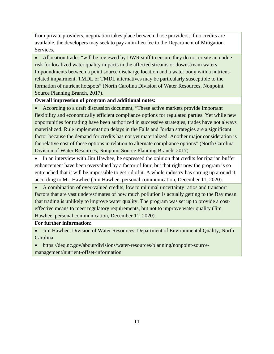from private providers, negotiation takes place between those providers; if no credits are available, the developers may seek to pay an in-lieu fee to the Department of Mitigation Services.

• Allocation trades "will be reviewed by DWR staff to ensure they do not create an undue risk for localized water quality impacts in the affected streams or downstream waters. Impoundments between a point source discharge location and a water body with a nutrientrelated impairment, TMDL or TMDL alternatives may be particularly susceptible to the formation of nutrient hotspots" (North Carolina Division of Water Resources, Nonpoint Source Planning Branch, 2017).

#### **Overall impression of program and additional notes:**

• According to a draft discussion document, "These active markets provide important flexibility and economically efficient compliance options for regulated parties. Yet while new opportunities for trading have been authorized in successive strategies, trades have not always materialized. Rule implementation delays in the Falls and Jordan strategies are a significant factor because the demand for credits has not yet materialized. Another major consideration is the relative cost of these options in relation to alternate compliance options" (North Carolina Division of Water Resources, Nonpoint Source Planning Branch, 2017).

• In an interview with Jim Hawhee, he expressed the opinion that credits for riparian buffer enhancement have been overvalued by a factor of four, but that right now the program is so entrenched that it will be impossible to get rid of it. A whole industry has sprung up around it, according to Mr. Hawhee (Jim Hawhee, personal communication, December 11, 2020).

• A combination of over-valued credits, low to minimal uncertainty ratios and transport factors that are vast underestimates of how much pollution is actually getting to the Bay mean that trading is unlikely to improve water quality. The program was set up to provide a costeffective means to meet regulatory requirements, but not to improve water quality (Jim Hawhee, personal communication, December 11, 2020).

#### **For further information:**

• Jim Hawhee, Division of Water Resources, Department of Environmental Quality, North Carolina

• https://deq.nc.gov/about/divisions/water-resources/planning/nonpoint-sourcemanagement/nutrient-offset-information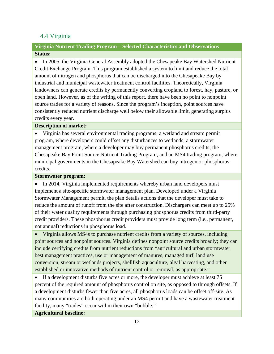### <span id="page-12-0"></span>4.4 Virginia

#### **Virginia Nutrient Trading Program – Selected Characteristics and Observations Status:**

• In 2005, the Virginia General Assembly adopted the Chesapeake Bay Watershed Nutrient Credit Exchange Program. This program established a system to limit and reduce the total amount of nitrogen and phosphorus that can be discharged into the Chesapeake Bay by industrial and municipal wastewater treatment control facilities. Theoretically, Virginia landowners can generate credits by permanently converting cropland to forest, hay, pasture, or open land. However, as of the writing of this report, there have been no point to nonpoint source trades for a variety of reasons. Since the program's inception, point sources have consistently reduced nutrient discharge well below their allowable limit, generating surplus credits every year.

#### **Description of market:**

• Virginia has several environmental trading programs: a wetland and stream permit program, where developers could offset any disturbances to wetlands; a stormwater management program, where a developer may buy permanent phosphorus credits; the Chesapeake Bay Point Source Nutrient Trading Program; and an MS4 trading program, where municipal governments in the Chesapeake Bay Watershed can buy nitrogen or phosphorus credits.

#### **Stormwater program:**

In 2014, Virginia implemented requirements whereby urban land developers must implement a site-specific stormwater management plan. Developed under a Virginia Stormwater Management permit, the plan details actions that the developer must take to reduce the amount of runoff from the site after construction. Dischargers can meet up to 25% of their water quality requirements through purchasing phosphorus credits from third-party credit providers. These phosphorus credit providers must provide long term (i.e., permanent, not annual) reductions in phosphorus load.

• Virginia allows MS4s to purchase nutrient credits from a variety of sources, including point sources and nonpoint sources. Virginia defines nonpoint source credits broadly; they can include certifying credits from nutrient reductions from "agricultural and urban stormwater best management practices, use or management of manures, managed turf, land use conversion, stream or wetlands projects, shellfish aquaculture, algal harvesting, and other established or innovative methods of nutrient control or removal, as appropriate."

• If a development disturbs five acres or more, the developer must achieve at least 75 percent of the required amount of phosphorus control on site, as opposed to through offsets. If a development disturbs fewer than five acres, all phosphorus loads can be offset off-site. As many communities are both operating under an MS4 permit and have a wastewater treatment facility, many "trades" occur within their own "bubble."

#### **Agricultural baseline:**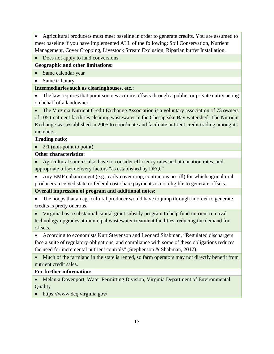• Agricultural producers must meet baseline in order to generate credits. You are assumed to meet baseline if you have implemented ALL of the following: Soil Conservation, Nutrient Management, Cover Cropping, Livestock Stream Exclusion, Riparian buffer Installation.

#### • Does not apply to land conversions.

**Geographic and other limitations:** 

• Same calendar year

• Same tributary

**Intermediaries such as clearinghouses, etc.:** 

• The law requires that point sources acquire offsets through a public, or private entity acting on behalf of a landowner.

• The Virginia Nutrient Credit Exchange Association is a voluntary association of 73 owners of 105 treatment facilities cleaning wastewater in the Chesapeake Bay watershed. The Nutrient Exchange was established in 2005 to coordinate and facilitate nutrient credit trading among its members.

**Trading ratio:** 

• 2:1 (non-point to point)

**Other characteristics:** 

• Agricultural sources also have to consider efficiency rates and attenuation rates, and appropriate offset delivery factors "as established by DEQ."

• Any BMP enhancement (e.g., early cover crop, continuous no-till) for which agricultural producers received state or federal cost-share payments is not eligible to generate offsets.

**Overall impression of program and additional notes:**

• The hoops that an agricultural producer would have to jump through in order to generate credits is pretty onerous.

• Virginia has a substantial capital grant subsidy program to help fund nutrient removal technology upgrades at municipal wastewater treatment facilities, reducing the demand for offsets.

• According to economists Kurt Stevenson and Leonard Shabman, "Regulated dischargers face a suite of regulatory obligations, and compliance with some of these obligations reduces the need for incremental nutrient controls" (Stephenson & Shabman, 2017).

• Much of the farmland in the state is rented, so farm operators may not directly benefit from nutrient credit sales.

**For further information:** 

• Melania Davenport, Water Permitting Division, Virginia Department of Environmental **Quality** 

• https://www.deq.virginia.gov/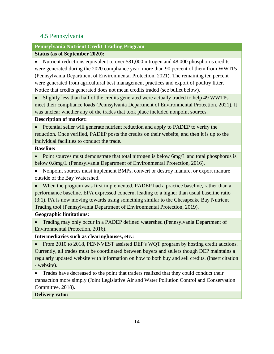### <span id="page-14-0"></span>4.5 Pennsylvania

#### **Pennsylvania Nutrient Credit Trading Program**

#### **Status (as of September 2020):**

• Nutrient reductions equivalent to over 581,000 nitrogen and 48,000 phosphorus credits were generated during the 2020 compliance year, more than 90 percent of them from WWTPs (Pennsylvania Department of Environmental Protection, 2021). The remaining ten percent were generated from agricultural best management practices and export of poultry litter. Notice that credits generated does not mean credits traded (see bullet below).

• Slightly less than half of the credits generated were actually traded to help 49 WWTPs meet their compliance loads (Pennsylvania Department of Environmental Protection, 2021). It was unclear whether any of the trades that took place included nonpoint sources.

#### **Description of market:**

• Potential seller will generate nutrient reduction and apply to PADEP to verify the reduction. Once verified, PADEP posts the credits on their website, and then it is up to the individual facilities to conduct the trade.

#### **Baseline:**

• Point sources must demonstrate that total nitrogen is below 6mg/L and total phosphorus is below 0.8mg/L (Pennsylvania Department of Environmental Protection, 2016).

• Nonpoint sources must implement BMPs, convert or destroy manure, or export manure outside of the Bay Watershed.

• When the program was first implemented, PADEP had a practice baseline, rather than a performance baseline. EPA expressed concern, leading to a higher than usual baseline ratio (3:1). PA is now moving towards using something similar to the Chesapeake Bay Nutrient Trading tool (Pennsylvania Department of Environmental Protection, 2019).

#### **Geographic limitations:**

• Trading may only occur in a PADEP defined watershed (Pennsylvania Department of Environmental Protection, 2016).

**Intermediaries such as clearinghouses, etc.:** 

• From 2010 to 2018, PENNVEST assisted DEP's WQT program by hosting credit auctions. Currently, all trades must be coordinated between buyers and sellers though DEP maintains a regularly updated website with information on how to both buy and sell credits. (insert citation - website).

• Trades have decreased to the point that traders realized that they could conduct their transaction more simply (Joint Legislative Air and Water Pollution Control and Conservation Committee, 2018).

**Delivery ratio:**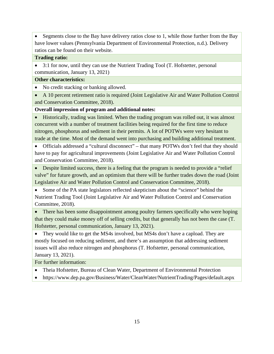• Segments close to the Bay have delivery ratios close to 1, while those further from the Bay have lower values (Pennsylvania Department of Environmental Protection, n.d.). Delivery ratios can be found on their website.

#### **Trading ratio:**

• 3:1 for now, until they can use the Nutrient Trading Tool (T. Hofstetter, personal communication, January 13, 2021)

#### **Other characteristics:**

• No credit stacking or banking allowed.

• A 10 percent retirement ratio is required (Joint Legislative Air and Water Pollution Control and Conservation Committee, 2018).

#### **Overall impression of program and additional notes:**

• Historically, trading was limited. When the trading program was rolled out, it was almost concurrent with a number of treatment facilities being required for the first time to reduce nitrogen, phosphorus and sediment in their permits. A lot of POTWs were very hesitant to trade at the time. Most of the demand went into purchasing and building additional treatment.

• Officials addressed a "cultural disconnect" – that many POTWs don't feel that they should have to pay for agricultural improvements (Joint Legislative Air and Water Pollution Control and Conservation Committee, 2018).

• Despite limited success, there is a feeling that the program is needed to provide a "relief" valve" for future growth, and an optimism that there will be further trades down the road (Joint Legislative Air and Water Pollution Control and Conservation Committee, 2018).

• Some of the PA state legislators reflected skepticism about the "science" behind the Nutrient Trading Tool (Joint Legislative Air and Water Pollution Control and Conservation Committee, 2018).

• There has been some disappointment among poultry farmers specifically who were hoping that they could make money off of selling credits, but that generally has not been the case (T. Hofstetter, personal communication, January 13, 2021).

• They would like to get the MS4s involved, but MS4s don't have a capload. They are mostly focused on reducing sediment, and there's an assumption that addressing sediment issues will also reduce nitrogen and phosphorus (T. Hofstetter, personal communication, January 13, 2021).

For further information:

- Theia Hofstetter, Bureau of Clean Water, Department of Environmental Protection
- https://www.dep.pa.gov/Business/Water/CleanWater/NutrientTrading/Pages/default.aspx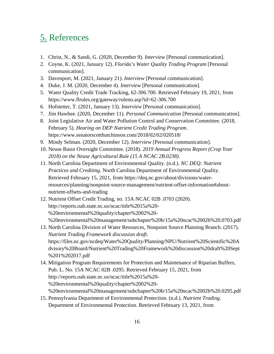## 5. References

- 1. Christ, N., & Sandi, G. (2020, December 9). *Interview* [Personal communication].
- 2. Coyne, K. (2021, January 12). *Florida's Water Quality Trading Program* [Personal communication].
- 3. Davenport, M. (2021, January 21). *Interview* [Personal communication].
- 4. Duke, J. M. (2020, December 4). *Interview* [Personal communication].
- 5. Water Quality Credit Trade Tracking, 62-306.700. Retrieved February 19, 2021, from https://www.flrules.org/gateway/ruleno.asp?id=62-306.700
- 6. Hofstetter, T. (2021, January 13). *Interview* [Personal communication].
- 7. Jim Hawhee. (2020, December 11). *Personal Communication* [Personal communication].
- 8. Joint Legislative Air and Water Pollution Control and Conservation Committee. (2018, February 5). *Hearing on DEP Nutrient Credit Trading Program*. https://www.senatorscotthutchinson.com/2018/02/02/020518/
- 9. Mindy Selman. (2020, December 12). *Interview* [Personal communication].
- 10. Neuse Basin Oversight Committee. (2018). *2019 Annual Progress Report (Crop Year 2018) on the Neuse Agricultural Rule (15 A NCAC 2B.0238)*.
- 11. North Carolina Department of Environmental Quality. (n.d.). *NC DEQ: Nutrient Practices and Crediting*. North Carolina Department of Environmental Quality. Retrieved February 15, 2021, from https://deq.nc.gov/about/divisions/waterresources/planning/nonpoint-source-management/nutrient-offset-information#aboutnutrient-offsets-and-trading
- 12. Nutrient Offset Credit Trading, no. 15A NCAC 02B .0703 (2020). http://reports.oah.state.nc.us/ncac/title%2015a%20- %20environmental%20quality/chapter%2002%20- %20environmental%20management/subchapter%20b/15a%20ncac%2002b%20.0703.pdf
- 13. North Carolina Division of Water Resources, Nonpoint Source Planning Branch. (2017). *Nutrient Trading Framework discussion draft*. https://files.nc.gov/ncdeq/Water%20Quality/Planning/NPU/Nutrient%20Scientific%20A dvisory%20Board/Nutrient%20Trading%20Framework%20discussion%20draft%20Sept %201%202017.pdf
- 14. Mitigation Program Requirements for Protection and Maintenance of Riparian Buffers, Pub. L. No. 15A NCAC 02B .0295. Retrieved February 15, 2021, from http://reports.oah.state.nc.us/ncac/title%2015a%20- %20environmental%20quality/chapter%2002%20- %20environmental%20management/subchapter%20b/15a%20ncac%2002b%20.0295.pdf
- 15. Pennsylvania Department of Environmental Protection. (n.d.). *Nutrient Trading*. Department of Environmental Protection. Retrieved February 13, 2021, from